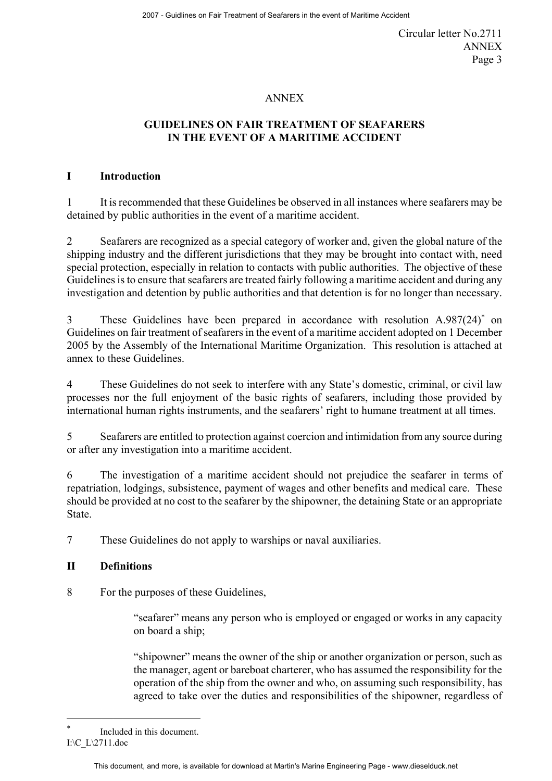## ANNEX

# **GUIDELINES ON FAIR TREATMENT OF SEAFARERS IN THE EVENT OF A MARITIME ACCIDENT**

## **I Introduction**

1 It is recommended that these Guidelines be observed in all instances where seafarers may be detained by public authorities in the event of a maritime accident.

2 Seafarers are recognized as a special category of worker and, given the global nature of the shipping industry and the different jurisdictions that they may be brought into contact with, need special protection, especially in relation to contacts with public authorities. The objective of these Guidelines is to ensure that seafarers are treated fairly following a maritime accident and during any investigation and detention by public authorities and that detention is for no longer than necessary.

3 These Guidelines have been prepared in accordance with resolution A.987(24)<sup>\*</sup> on Guidelines on fair treatment of seafarers in the event of a maritime accident adopted on 1 December 2005 by the Assembly of the International Maritime Organization. This resolution is attached at annex to these Guidelines.

4 These Guidelines do not seek to interfere with any State's domestic, criminal, or civil law processes nor the full enjoyment of the basic rights of seafarers, including those provided by international human rights instruments, and the seafarers' right to humane treatment at all times.

5 Seafarers are entitled to protection against coercion and intimidation from any source during or after any investigation into a maritime accident.

6 The investigation of a maritime accident should not prejudice the seafarer in terms of repatriation, lodgings, subsistence, payment of wages and other benefits and medical care. These should be provided at no cost to the seafarer by the shipowner, the detaining State or an appropriate State.

7 These Guidelines do not apply to warships or naval auxiliaries.

# **II Definitions**

8 For the purposes of these Guidelines,

"seafarer" means any person who is employed or engaged or works in any capacity on board a ship;

"shipowner" means the owner of the ship or another organization or person, such as the manager, agent or bareboat charterer, who has assumed the responsibility for the operation of the ship from the owner and who, on assuming such responsibility, has agreed to take over the duties and responsibilities of the shipowner, regardless of

 $\overline{a}$ 

I:\C\_L\2711.doc Included in this document.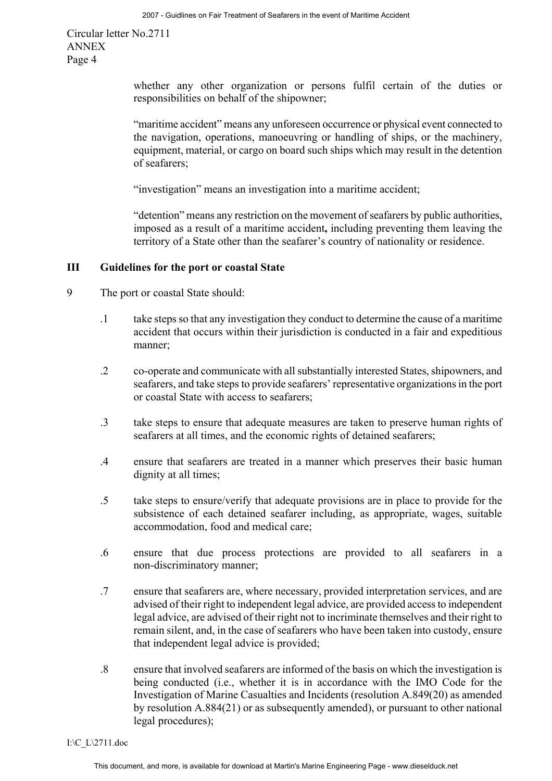Circular letter No.2711 ANNEX Page 4

> whether any other organization or persons fulfil certain of the duties or responsibilities on behalf of the shipowner;

> "maritime accident" means any unforeseen occurrence or physical event connected to the navigation, operations, manoeuvring or handling of ships, or the machinery, equipment, material, or cargo on board such ships which may result in the detention of seafarers;

"investigation" means an investigation into a maritime accident;

"detention" means any restriction on the movement of seafarers by public authorities, imposed as a result of a maritime accident**,** including preventing them leaving the territory of a State other than the seafarer's country of nationality or residence.

#### **III Guidelines for the port or coastal State**

- 9 The port or coastal State should:
	- .1 take steps so that any investigation they conduct to determine the cause of a maritime accident that occurs within their jurisdiction is conducted in a fair and expeditious manner;
	- .2 co-operate and communicate with all substantially interested States, shipowners, and seafarers, and take steps to provide seafarers' representative organizations in the port or coastal State with access to seafarers;
	- .3 take steps to ensure that adequate measures are taken to preserve human rights of seafarers at all times, and the economic rights of detained seafarers;
	- .4 ensure that seafarers are treated in a manner which preserves their basic human dignity at all times;
	- .5 take steps to ensure/verify that adequate provisions are in place to provide for the subsistence of each detained seafarer including, as appropriate, wages, suitable accommodation, food and medical care;
	- .6 ensure that due process protections are provided to all seafarers in a non-discriminatory manner;
	- .7 ensure that seafarers are, where necessary, provided interpretation services, and are advised of their right to independent legal advice, are provided access to independent legal advice, are advised of their right not to incriminate themselves and their right to remain silent, and, in the case of seafarers who have been taken into custody, ensure that independent legal advice is provided;
	- .8 ensure that involved seafarers are informed of the basis on which the investigation is being conducted (i.e., whether it is in accordance with the IMO Code for the Investigation of Marine Casualties and Incidents (resolution A.849(20) as amended by resolution A.884(21) or as subsequently amended), or pursuant to other national legal procedures);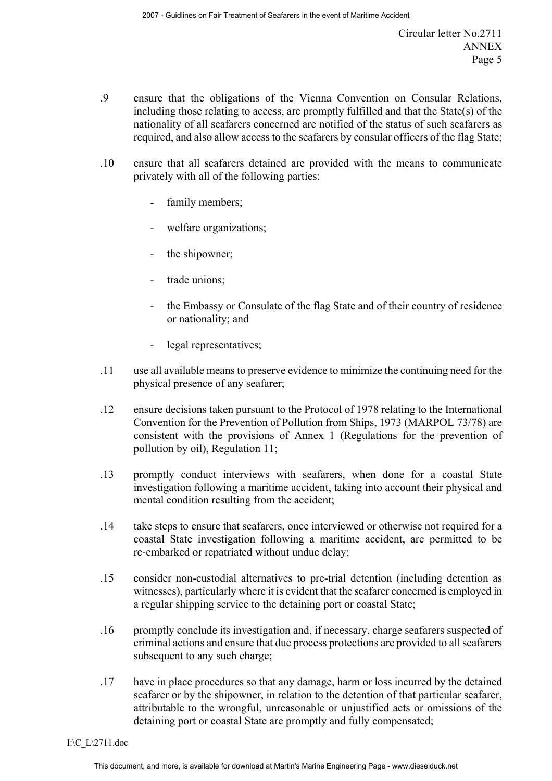- .9 ensure that the obligations of the Vienna Convention on Consular Relations, including those relating to access, are promptly fulfilled and that the State(s) of the nationality of all seafarers concerned are notified of the status of such seafarers as required, and also allow access to the seafarers by consular officers of the flag State;
- .10 ensure that all seafarers detained are provided with the means to communicate privately with all of the following parties:
	- family members;
	- welfare organizations;
	- the shipowner;
	- trade unions;
	- the Embassy or Consulate of the flag State and of their country of residence or nationality; and
	- legal representatives;
- .11 use all available means to preserve evidence to minimize the continuing need for the physical presence of any seafarer;
- .12 ensure decisions taken pursuant to the Protocol of 1978 relating to the International Convention for the Prevention of Pollution from Ships, 1973 (MARPOL 73/78) are consistent with the provisions of Annex 1 (Regulations for the prevention of pollution by oil), Regulation 11;
- .13 promptly conduct interviews with seafarers, when done for a coastal State investigation following a maritime accident, taking into account their physical and mental condition resulting from the accident;
- .14 take steps to ensure that seafarers, once interviewed or otherwise not required for a coastal State investigation following a maritime accident, are permitted to be re-embarked or repatriated without undue delay;
- .15 consider non-custodial alternatives to pre-trial detention (including detention as witnesses), particularly where it is evident that the seafarer concerned is employed in a regular shipping service to the detaining port or coastal State;
- .16 promptly conclude its investigation and, if necessary, charge seafarers suspected of criminal actions and ensure that due process protections are provided to all seafarers subsequent to any such charge:
- .17 have in place procedures so that any damage, harm or loss incurred by the detained seafarer or by the shipowner, in relation to the detention of that particular seafarer, attributable to the wrongful, unreasonable or unjustified acts or omissions of the detaining port or coastal State are promptly and fully compensated;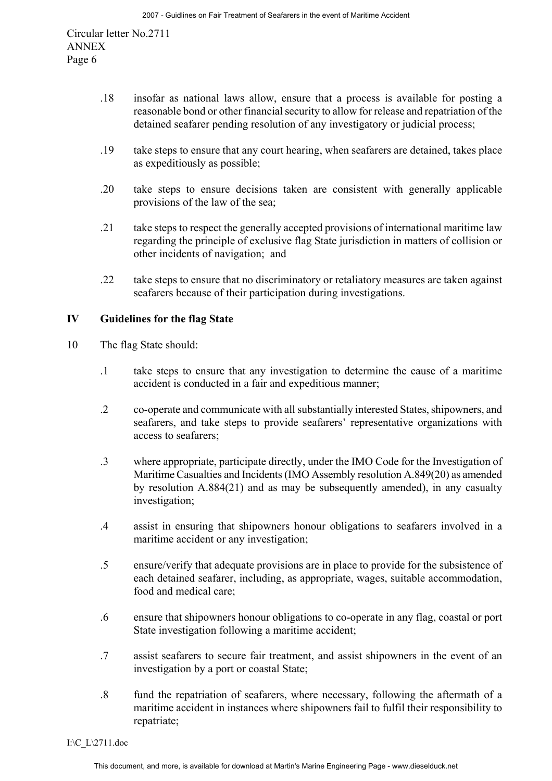- .18 insofar as national laws allow, ensure that a process is available for posting a reasonable bond or other financial security to allow for release and repatriation of the detained seafarer pending resolution of any investigatory or judicial process;
- .19 take steps to ensure that any court hearing, when seafarers are detained, takes place as expeditiously as possible;
- .20 take steps to ensure decisions taken are consistent with generally applicable provisions of the law of the sea;
- .21 take steps to respect the generally accepted provisions of international maritime law regarding the principle of exclusive flag State jurisdiction in matters of collision or other incidents of navigation; and
- .22 take steps to ensure that no discriminatory or retaliatory measures are taken against seafarers because of their participation during investigations.

### **IV Guidelines for the flag State**

- 10 The flag State should:
	- .1 take steps to ensure that any investigation to determine the cause of a maritime accident is conducted in a fair and expeditious manner;
	- .2 co-operate and communicate with all substantially interested States, shipowners, and seafarers, and take steps to provide seafarers' representative organizations with access to seafarers;
	- .3 where appropriate, participate directly, under the IMO Code for the Investigation of Maritime Casualties and Incidents (IMO Assembly resolution A.849(20) as amended by resolution A.884(21) and as may be subsequently amended), in any casualty investigation;
	- .4 assist in ensuring that shipowners honour obligations to seafarers involved in a maritime accident or any investigation;
	- .5 ensure/verify that adequate provisions are in place to provide for the subsistence of each detained seafarer, including, as appropriate, wages, suitable accommodation, food and medical care;
	- .6 ensure that shipowners honour obligations to co-operate in any flag, coastal or port State investigation following a maritime accident;
	- .7 assist seafarers to secure fair treatment, and assist shipowners in the event of an investigation by a port or coastal State;
	- .8 fund the repatriation of seafarers, where necessary, following the aftermath of a maritime accident in instances where shipowners fail to fulfil their responsibility to repatriate;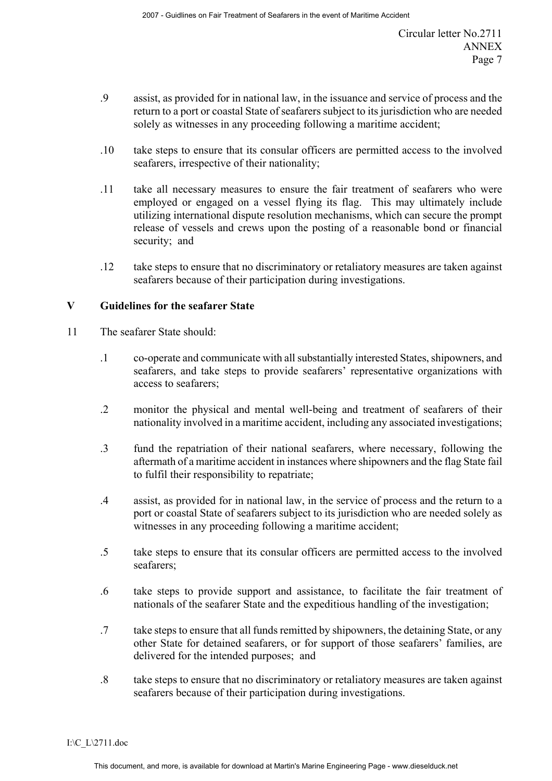- .9 assist, as provided for in national law, in the issuance and service of process and the return to a port or coastal State of seafarers subject to its jurisdiction who are needed solely as witnesses in any proceeding following a maritime accident;
- .10 take steps to ensure that its consular officers are permitted access to the involved seafarers, irrespective of their nationality;
- .11 take all necessary measures to ensure the fair treatment of seafarers who were employed or engaged on a vessel flying its flag. This may ultimately include utilizing international dispute resolution mechanisms, which can secure the prompt release of vessels and crews upon the posting of a reasonable bond or financial security; and
- .12 take steps to ensure that no discriminatory or retaliatory measures are taken against seafarers because of their participation during investigations.

### **V Guidelines for the seafarer State**

- 11 The seafarer State should:
	- .1 co-operate and communicate with all substantially interested States, shipowners, and seafarers, and take steps to provide seafarers' representative organizations with access to seafarers;
	- .2 monitor the physical and mental well-being and treatment of seafarers of their nationality involved in a maritime accident, including any associated investigations;
	- .3 fund the repatriation of their national seafarers, where necessary, following the aftermath of a maritime accident in instances where shipowners and the flag State fail to fulfil their responsibility to repatriate;
	- .4 assist, as provided for in national law, in the service of process and the return to a port or coastal State of seafarers subject to its jurisdiction who are needed solely as witnesses in any proceeding following a maritime accident;
	- .5 take steps to ensure that its consular officers are permitted access to the involved seafarers;
	- .6 take steps to provide support and assistance, to facilitate the fair treatment of nationals of the seafarer State and the expeditious handling of the investigation;
	- .7 take steps to ensure that all funds remitted by shipowners, the detaining State, or any other State for detained seafarers, or for support of those seafarers' families, are delivered for the intended purposes; and
	- .8 take steps to ensure that no discriminatory or retaliatory measures are taken against seafarers because of their participation during investigations.

I:\C  $L\$ 2711.doc